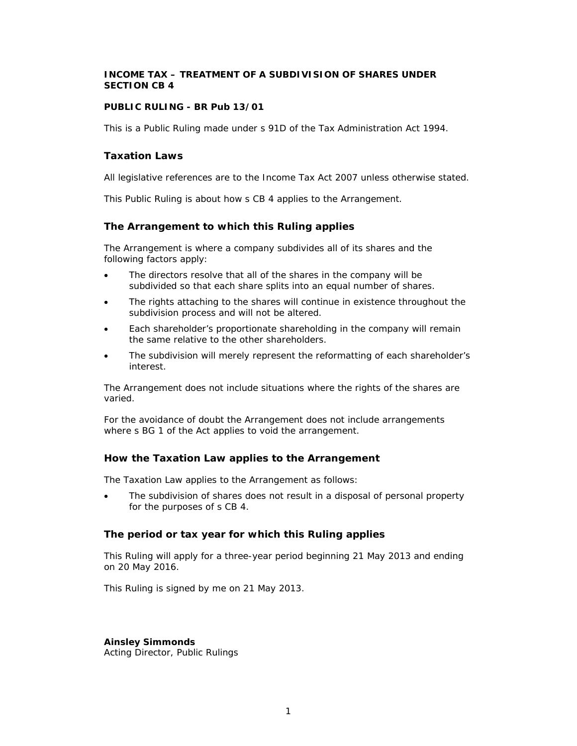# **INCOME TAX – TREATMENT OF A SUBDIVISION OF SHARES UNDER SECTION CB 4**

### **PUBLIC RULING - BR Pub 13/01**

This is a Public Ruling made under s 91D of the Tax Administration Act 1994.

### **Taxation Laws**

All legislative references are to the Income Tax Act 2007 unless otherwise stated.

This Public Ruling is about how s CB 4 applies to the Arrangement.

## **The Arrangement to which this Ruling applies**

The Arrangement is where a company subdivides all of its shares and the following factors apply:

- The directors resolve that all of the shares in the company will be subdivided so that each share splits into an equal number of shares.
- The rights attaching to the shares will continue in existence throughout the subdivision process and will not be altered.
- Each shareholder's proportionate shareholding in the company will remain the same relative to the other shareholders.
- The subdivision will merely represent the reformatting of each shareholder's interest.

The Arrangement does not include situations where the rights of the shares are varied.

For the avoidance of doubt the Arrangement does not include arrangements where s BG 1 of the Act applies to void the arrangement.

### **How the Taxation Law applies to the Arrangement**

The Taxation Law applies to the Arrangement as follows:

• The subdivision of shares does not result in a disposal of personal property for the purposes of s CB 4.

### **The period or tax year for which this Ruling applies**

This Ruling will apply for a three-year period beginning 21 May 2013 and ending on 20 May 2016.

This Ruling is signed by me on 21 May 2013.

### **Ainsley Simmonds**

Acting Director, Public Rulings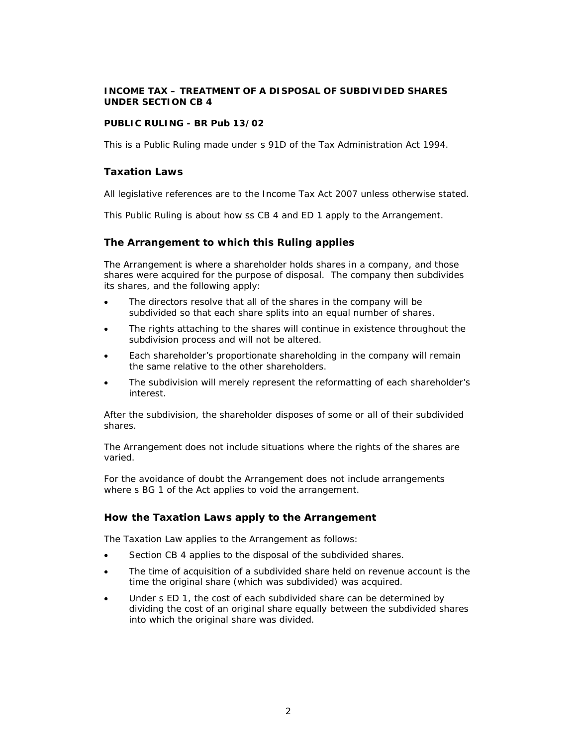# **INCOME TAX – TREATMENT OF A DISPOSAL OF SUBDIVIDED SHARES UNDER SECTION CB 4**

### **PUBLIC RULING - BR Pub 13/02**

This is a Public Ruling made under s 91D of the Tax Administration Act 1994.

### **Taxation Laws**

All legislative references are to the Income Tax Act 2007 unless otherwise stated.

This Public Ruling is about how ss CB 4 and ED 1 apply to the Arrangement.

## **The Arrangement to which this Ruling applies**

The Arrangement is where a shareholder holds shares in a company, and those shares were acquired for the purpose of disposal. The company then subdivides its shares, and the following apply:

- The directors resolve that all of the shares in the company will be subdivided so that each share splits into an equal number of shares.
- The rights attaching to the shares will continue in existence throughout the subdivision process and will not be altered.
- Each shareholder's proportionate shareholding in the company will remain the same relative to the other shareholders.
- The subdivision will merely represent the reformatting of each shareholder's interest.

After the subdivision, the shareholder disposes of some or all of their subdivided shares.

The Arrangement does not include situations where the rights of the shares are varied.

For the avoidance of doubt the Arrangement does not include arrangements where s BG 1 of the Act applies to void the arrangement.

### **How the Taxation Laws apply to the Arrangement**

The Taxation Law applies to the Arrangement as follows:

- Section CB 4 applies to the disposal of the subdivided shares.
- The time of acquisition of a subdivided share held on revenue account is the time the original share (which was subdivided) was acquired.
- Under s ED 1, the cost of each subdivided share can be determined by dividing the cost of an original share equally between the subdivided shares into which the original share was divided.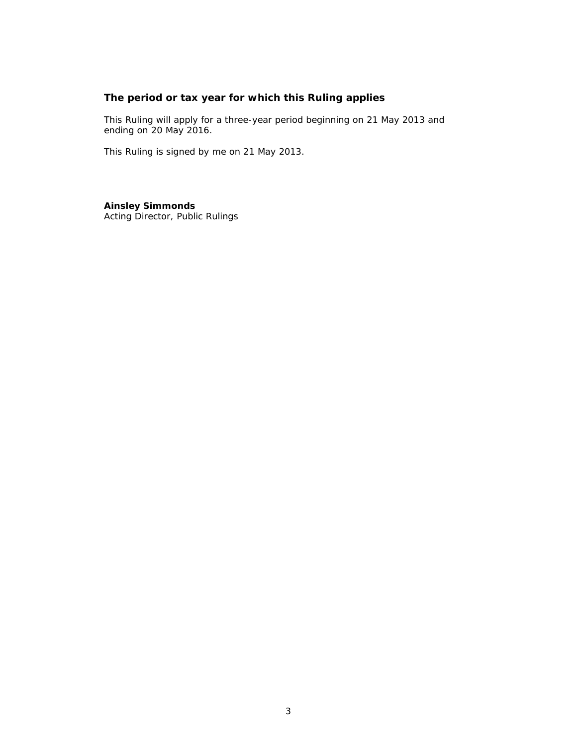# **The period or tax year for which this Ruling applies**

This Ruling will apply for a three-year period beginning on 21 May 2013 and ending on 20 May 2016.

This Ruling is signed by me on 21 May 2013.

**Ainsley Simmonds**  Acting Director, Public Rulings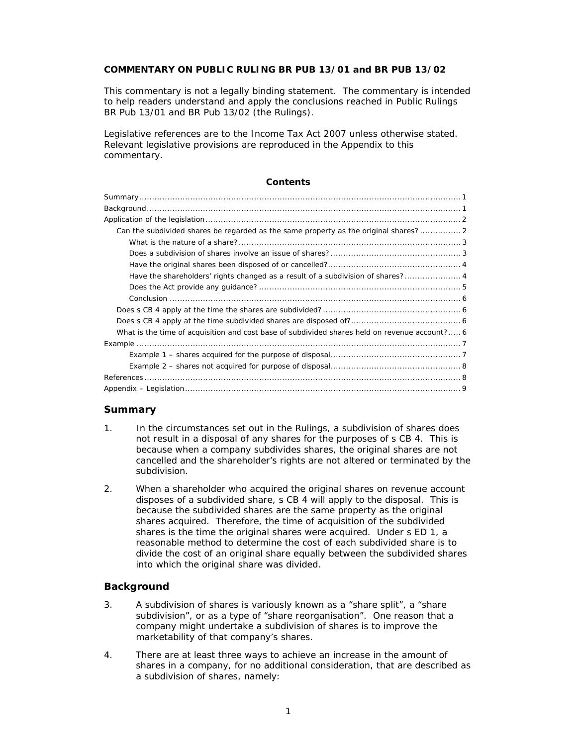### **COMMENTARY ON PUBLIC RULING BR PUB 13/01 and BR PUB 13/02**

This commentary is not a legally binding statement. The commentary is intended to help readers understand and apply the conclusions reached in Public Rulings BR Pub 13/01 and BR Pub 13/02 (the Rulings).

Legislative references are to the Income Tax Act 2007 unless otherwise stated. Relevant legislative provisions are reproduced in the Appendix to this commentary.

### **Contents**

### **Summary**

- 1. In the circumstances set out in the Rulings, a subdivision of shares does not result in a disposal of any shares for the purposes of s CB 4. This is because when a company subdivides shares, the original shares are not cancelled and the shareholder's rights are not altered or terminated by the subdivision.
- 2. When a shareholder who acquired the original shares on revenue account disposes of a subdivided share, s CB 4 will apply to the disposal. This is because the subdivided shares are the same property as the original shares acquired. Therefore, the time of acquisition of the subdivided shares is the time the original shares were acquired. Under s ED 1, a reasonable method to determine the cost of each subdivided share is to divide the cost of an original share equally between the subdivided shares into which the original share was divided.

### **Background**

- 3. A subdivision of shares is variously known as a "share split", a "share subdivision", or as a type of "share reorganisation". One reason that a company might undertake a subdivision of shares is to improve the marketability of that company's shares.
- 4. There are at least three ways to achieve an increase in the amount of shares in a company, for no additional consideration, that are described as a subdivision of shares, namely: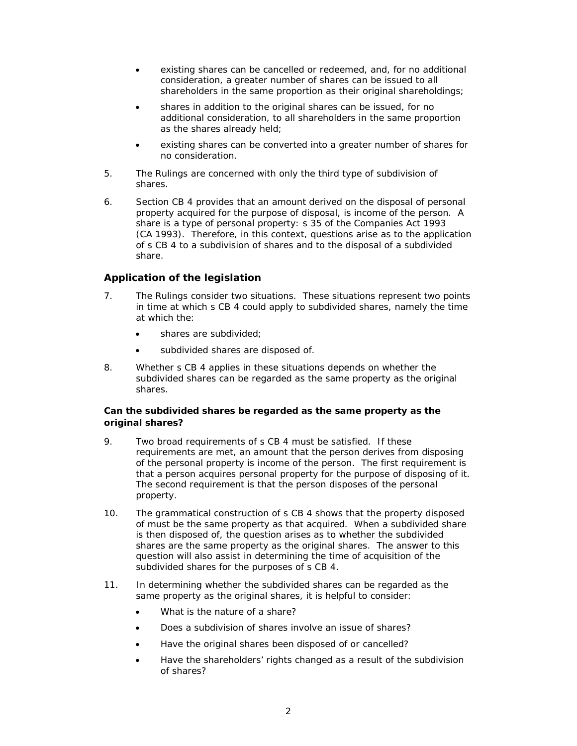- existing shares can be cancelled or redeemed, and, for no additional consideration, a greater number of shares can be issued to all shareholders in the same proportion as their original shareholdings;
- shares in addition to the original shares can be issued, for no additional consideration, to all shareholders in the same proportion as the shares already held;
- existing shares can be converted into a greater number of shares for no consideration.
- 5. The Rulings are concerned with only the third type of subdivision of shares.
- 6. Section CB 4 provides that an amount derived on the disposal of personal property acquired for the purpose of disposal, is income of the person. A share is a type of personal property: s 35 of the Companies Act 1993 (CA 1993). Therefore, in this context, questions arise as to the application of s CB 4 to a subdivision of shares and to the disposal of a subdivided share.

# **Application of the legislation**

- 7. The Rulings consider two situations. These situations represent two points in time at which s CB 4 could apply to subdivided shares, namely the time at which the:
	- shares are subdivided;
	- subdivided shares are disposed of.
- 8. Whether s CB 4 applies in these situations depends on whether the subdivided shares can be regarded as the same property as the original shares.

## **Can the subdivided shares be regarded as the same property as the original shares?**

- 9. Two broad requirements of s CB 4 must be satisfied. If these requirements are met, an amount that the person derives from disposing of the personal property is income of the person. The first requirement is that a person acquires personal property for the purpose of disposing of it. The second requirement is that the person disposes of the personal property.
- 10. The grammatical construction of s CB 4 shows that the property disposed of must be the same property as that acquired. When a subdivided share is then disposed of, the question arises as to whether the subdivided shares are the same property as the original shares. The answer to this question will also assist in determining the time of acquisition of the subdivided shares for the purposes of s CB 4.
- 11. In determining whether the subdivided shares can be regarded as the same property as the original shares, it is helpful to consider:
	- What is the nature of a share?
	- Does a subdivision of shares involve an issue of shares?
	- Have the original shares been disposed of or cancelled?
	- Have the shareholders' rights changed as a result of the subdivision of shares?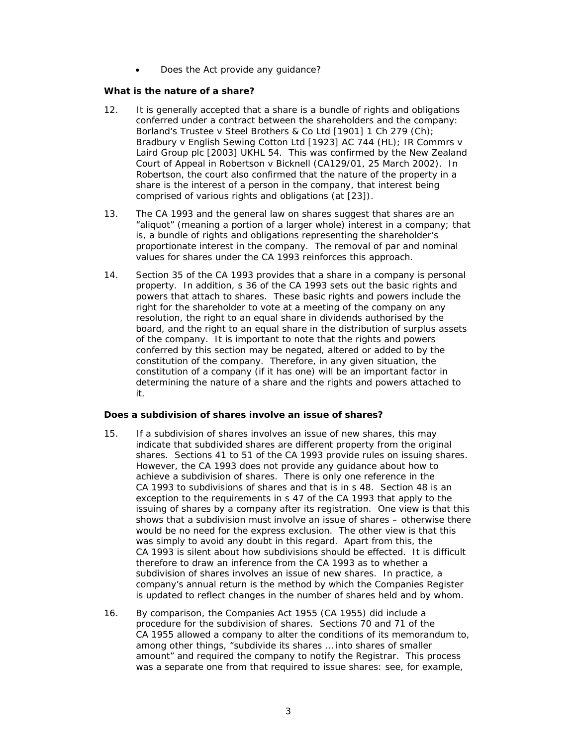• Does the Act provide any quidance?

### *What is the nature of a share?*

- 12. It is generally accepted that a share is a bundle of rights and obligations conferred under a contract between the shareholders and the company: *Borland's Trustee v Steel Brothers & Co Ltd* [1901] 1 Ch 279 (Ch); *Bradbury v English Sewing Cotton Ltd* [1923] AC 744 (HL); *IR Commrs v Laird Group plc* [2003] UKHL 54. This was confirmed by the New Zealand Court of Appeal in *Robertson v Bicknell* (CA129/01, 25 March 2002). In *Robertson*, the court also confirmed that the nature of the property in a share is the interest of a person in the company, that interest being comprised of various rights and obligations (at [23]).
- 13. The CA 1993 and the general law on shares suggest that shares are an "aliquot" (meaning a portion of a larger whole) interest in a company; that is, a bundle of rights and obligations representing the shareholder's proportionate interest in the company. The removal of par and nominal values for shares under the CA 1993 reinforces this approach.
- 14. Section 35 of the CA 1993 provides that a share in a company is personal property. In addition, s 36 of the CA 1993 sets out the basic rights and powers that attach to shares. These basic rights and powers include the right for the shareholder to vote at a meeting of the company on any resolution, the right to an equal share in dividends authorised by the board, and the right to an equal share in the distribution of surplus assets of the company. It is important to note that the rights and powers conferred by this section may be negated, altered or added to by the constitution of the company. Therefore, in any given situation, the constitution of a company (if it has one) will be an important factor in determining the nature of a share and the rights and powers attached to it.

### *Does a subdivision of shares involve an issue of shares?*

- 15. If a subdivision of shares involves an issue of new shares, this may indicate that subdivided shares are different property from the original shares. Sections 41 to 51 of the CA 1993 provide rules on issuing shares. However, the CA 1993 does not provide any guidance about how to achieve a subdivision of shares. There is only one reference in the CA 1993 to subdivisions of shares and that is in s 48. Section 48 is an exception to the requirements in s 47 of the CA 1993 that apply to the issuing of shares by a company after its registration. One view is that this shows that a subdivision must involve an issue of shares – otherwise there would be no need for the express exclusion. The other view is that this was simply to avoid any doubt in this regard. Apart from this, the CA 1993 is silent about how subdivisions should be effected. It is difficult therefore to draw an inference from the CA 1993 as to whether a subdivision of shares involves an issue of new shares. In practice, a company's annual return is the method by which the Companies Register is updated to reflect changes in the number of shares held and by whom.
- 16. By comparison, the Companies Act 1955 (CA 1955) did include a procedure for the subdivision of shares. Sections 70 and 71 of the CA 1955 allowed a company to alter the conditions of its memorandum to, among other things, "subdivide its shares … into shares of smaller amount" and required the company to notify the Registrar. This process was a separate one from that required to issue shares: see, for example,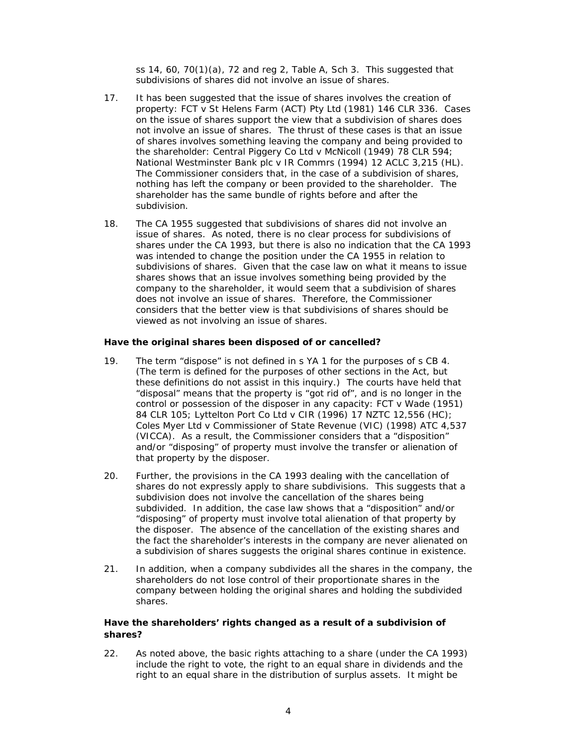ss  $14, 60, 70(1)(a)$ ,  $72$  and reg 2, Table A, Sch 3. This suggested that subdivisions of shares did not involve an issue of shares.

- 17. It has been suggested that the issue of shares involves the creation of property: *FCT v St Helens Farm (ACT) Pty Ltd* (1981) 146 CLR 336. Cases on the issue of shares support the view that a subdivision of shares does not involve an issue of shares. The thrust of these cases is that an issue of shares involves something leaving the company and being provided to the shareholder: *Central Piggery Co Ltd v McNicoll* (1949) 78 CLR 594; *National Westminster Bank plc v IR Commrs* (1994) 12 ACLC 3,215 (HL). The Commissioner considers that, in the case of a subdivision of shares, nothing has left the company or been provided to the shareholder. The shareholder has the same bundle of rights before and after the subdivision.
- 18. The CA 1955 suggested that subdivisions of shares did not involve an issue of shares. As noted, there is no clear process for subdivisions of shares under the CA 1993, but there is also no indication that the CA 1993 was intended to change the position under the CA 1955 in relation to subdivisions of shares. Given that the case law on what it means to issue shares shows that an issue involves something being provided by the company to the shareholder, it would seem that a subdivision of shares does not involve an issue of shares. Therefore, the Commissioner considers that the better view is that subdivisions of shares should be viewed as not involving an issue of shares.

### *Have the original shares been disposed of or cancelled?*

- 19. The term "dispose" is not defined in s YA 1 for the purposes of s CB 4. (The term is defined for the purposes of other sections in the Act, but these definitions do not assist in this inquiry.) The courts have held that "disposal" means that the property is "got rid of", and is no longer in the control or possession of the disposer in any capacity: *FCT v Wade* (1951) 84 CLR 105; *Lyttelton Port Co Ltd v CIR* (1996) 17 NZTC 12,556 (HC); *Coles Myer Ltd v Commissioner of State Revenue (VIC)* (1998) ATC 4,537 (VICCA). As a result, the Commissioner considers that a "disposition" and/or "disposing" of property must involve the transfer or alienation of that property by the disposer.
- 20. Further, the provisions in the CA 1993 dealing with the cancellation of shares do not expressly apply to share subdivisions. This suggests that a subdivision does not involve the cancellation of the shares being subdivided. In addition, the case law shows that a "disposition" and/or "disposing" of property must involve total alienation of that property by the disposer. The absence of the cancellation of the existing shares and the fact the shareholder's interests in the company are never alienated on a subdivision of shares suggests the original shares continue in existence.
- 21. In addition, when a company subdivides all the shares in the company, the shareholders do not lose control of their proportionate shares in the company between holding the original shares and holding the subdivided shares.

## *Have the shareholders' rights changed as a result of a subdivision of shares?*

22. As noted above, the basic rights attaching to a share (under the CA 1993) include the right to vote, the right to an equal share in dividends and the right to an equal share in the distribution of surplus assets. It might be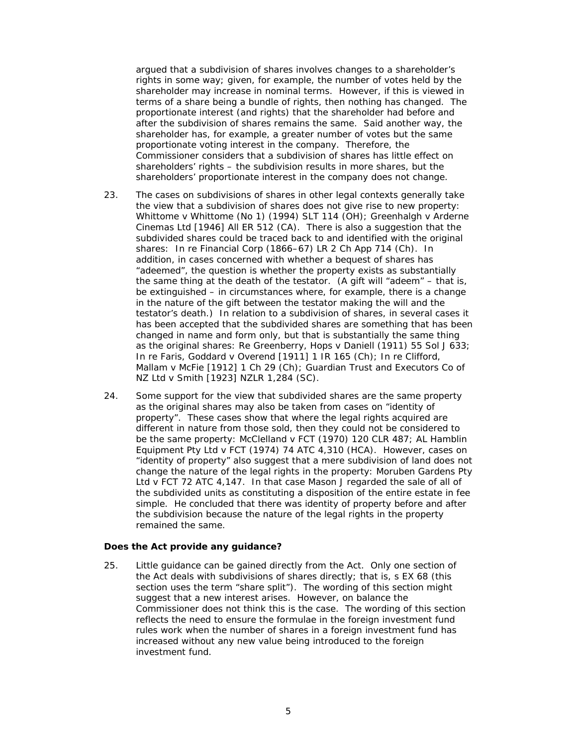argued that a subdivision of shares involves changes to a shareholder's rights in some way; given, for example, the number of votes held by the shareholder may increase in nominal terms. However, if this is viewed in terms of a share being a bundle of rights, then nothing has changed. The proportionate interest (and rights) that the shareholder had before and after the subdivision of shares remains the same. Said another way, the shareholder has, for example, a greater number of votes but the same proportionate voting interest in the company. Therefore, the Commissioner considers that a subdivision of shares has little effect on shareholders' rights – the subdivision results in more shares, but the shareholders' proportionate interest in the company does not change.

- 23. The cases on subdivisions of shares in other legal contexts generally take the view that a subdivision of shares does not give rise to new property: *Whittome v Whittome (No 1)* (1994) SLT 114 (OH); *Greenhalgh v Arderne Cinemas Ltd* [1946] All ER 512 (CA). There is also a suggestion that the subdivided shares could be traced back to and identified with the original shares: *In re Financial Corp* (1866–67) LR 2 Ch App 714 (Ch). In addition, in cases concerned with whether a bequest of shares has "adeemed", the question is whether the property exists as substantially the same thing at the death of the testator. (A gift will "adeem" – that is, be extinguished – in circumstances where, for example, there is a change in the nature of the gift between the testator making the will and the testator's death.) In relation to a subdivision of shares, in several cases it has been accepted that the subdivided shares are something that has been changed in name and form only, but that is substantially the same thing as the original shares: *Re Greenberry, Hops v Daniell* (1911) 55 Sol J 633; *In re Faris, Goddard v Overend* [1911] 1 IR 165 (Ch); *In re Clifford, Mallam v McFie* [1912] 1 Ch 29 (Ch); *Guardian Trust and Executors Co of NZ Ltd v Smith* [1923] NZLR 1,284 (SC).
- 24. Some support for the view that subdivided shares are the same property as the original shares may also be taken from cases on "identity of property". These cases show that where the legal rights acquired are different in nature from those sold, then they could not be considered to be the same property: *McClelland v FCT* (1970) 120 CLR 487; *AL Hamblin Equipment Pty Ltd v FCT* (1974) 74 ATC 4,310 (HCA). However, cases on "identity of property" also suggest that a mere subdivision of land does not change the nature of the legal rights in the property: *Moruben Gardens Pty Ltd v FCT* 72 ATC 4,147. In that case Mason J regarded the sale of all of the subdivided units as constituting a disposition of the entire estate in fee simple. He concluded that there was identity of property before and after the subdivision because the nature of the legal rights in the property remained the same.

#### *Does the Act provide any guidance?*

25. Little guidance can be gained directly from the Act. Only one section of the Act deals with subdivisions of shares directly; that is, s EX 68 (this section uses the term "share split"). The wording of this section might suggest that a new interest arises. However, on balance the Commissioner does not think this is the case. The wording of this section reflects the need to ensure the formulae in the foreign investment fund rules work when the number of shares in a foreign investment fund has increased without any new value being introduced to the foreign investment fund.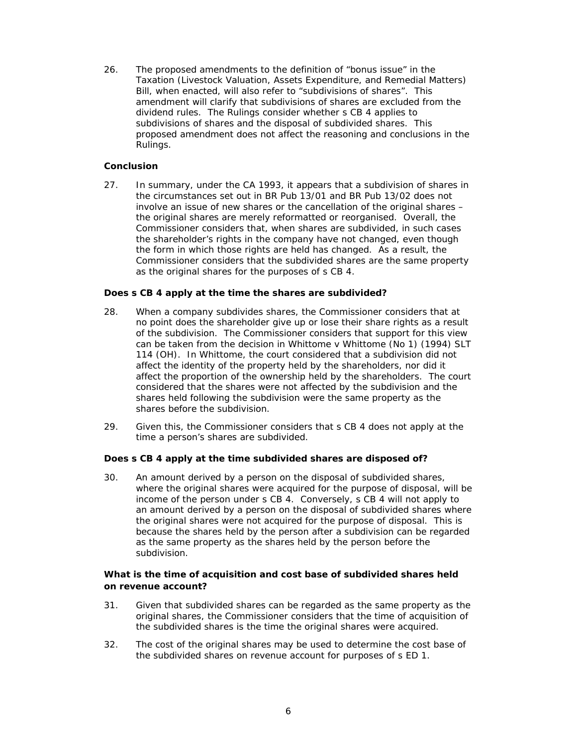26. The proposed amendments to the definition of "bonus issue" in the Taxation (Livestock Valuation, Assets Expenditure, and Remedial Matters) Bill, when enacted, will also refer to "subdivisions of shares". This amendment will clarify that subdivisions of shares are excluded from the dividend rules. The Rulings consider whether s CB 4 applies to subdivisions of shares and the disposal of subdivided shares. This proposed amendment does not affect the reasoning and conclusions in the Rulings.

### *Conclusion*

27. In summary, under the CA 1993, it appears that a subdivision of shares in the circumstances set out in BR Pub 13/01 and BR Pub 13/02 does not involve an issue of new shares or the cancellation of the original shares – the original shares are merely reformatted or reorganised. Overall, the Commissioner considers that, when shares are subdivided, in such cases the shareholder's rights in the company have not changed, even though the form in which those rights are held has changed. As a result, the Commissioner considers that the subdivided shares are the same property as the original shares for the purposes of s CB 4.

### **Does s CB 4 apply at the time the shares are subdivided?**

- 28. When a company subdivides shares, the Commissioner considers that at no point does the shareholder give up or lose their share rights as a result of the subdivision. The Commissioner considers that support for this view can be taken from the decision in *Whittome v Whittome (No 1)* (1994) SLT 114 (OH). In *Whittome*, the court considered that a subdivision did not affect the identity of the property held by the shareholders, nor did it affect the proportion of the ownership held by the shareholders. The court considered that the shares were not affected by the subdivision and the shares held following the subdivision were the same property as the shares before the subdivision.
- 29. Given this, the Commissioner considers that s CB 4 does not apply at the time a person's shares are subdivided.

#### **Does s CB 4 apply at the time subdivided shares are disposed of?**

30. An amount derived by a person on the disposal of subdivided shares, where the original shares were acquired for the purpose of disposal, will be income of the person under s CB 4. Conversely, s CB 4 will not apply to an amount derived by a person on the disposal of subdivided shares where the original shares were not acquired for the purpose of disposal. This is because the shares held by the person after a subdivision can be regarded as the same property as the shares held by the person before the subdivision.

### **What is the time of acquisition and cost base of subdivided shares held on revenue account?**

- 31. Given that subdivided shares can be regarded as the same property as the original shares, the Commissioner considers that the time of acquisition of the subdivided shares is the time the original shares were acquired.
- 32. The cost of the original shares may be used to determine the cost base of the subdivided shares on revenue account for purposes of s ED 1.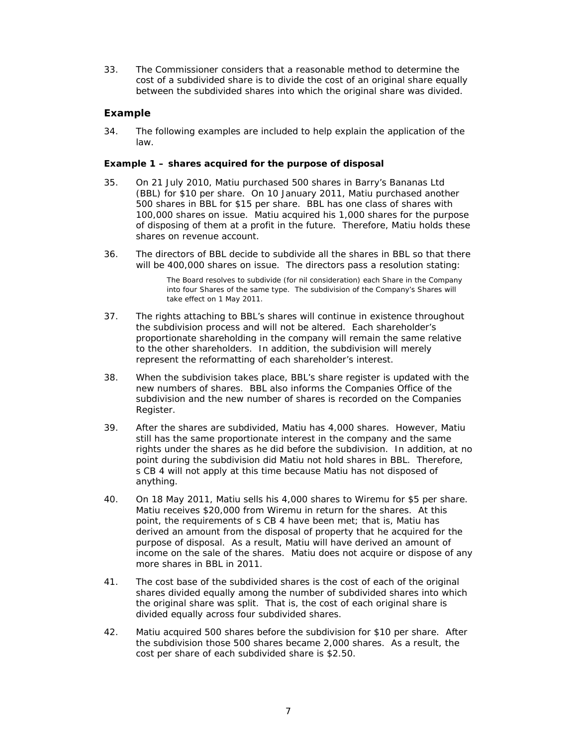33. The Commissioner considers that a reasonable method to determine the cost of a subdivided share is to divide the cost of an original share equally between the subdivided shares into which the original share was divided.

# **Example**

34. The following examples are included to help explain the application of the law.

### *Example 1 – shares acquired for the purpose of disposal*

- 35. On 21 July 2010, Matiu purchased 500 shares in Barry's Bananas Ltd (BBL) for \$10 per share. On 10 January 2011, Matiu purchased another 500 shares in BBL for \$15 per share. BBL has one class of shares with 100,000 shares on issue. Matiu acquired his 1,000 shares for the purpose of disposing of them at a profit in the future. Therefore, Matiu holds these shares on revenue account.
- 36. The directors of BBL decide to subdivide all the shares in BBL so that there will be 400,000 shares on issue. The directors pass a resolution stating:

The Board resolves to subdivide (for nil consideration) each Share in the Company into four Shares of the same type. The subdivision of the Company's Shares will take effect on 1 May 2011.

- 37. The rights attaching to BBL's shares will continue in existence throughout the subdivision process and will not be altered. Each shareholder's proportionate shareholding in the company will remain the same relative to the other shareholders. In addition, the subdivision will merely represent the reformatting of each shareholder's interest.
- 38. When the subdivision takes place, BBL's share register is updated with the new numbers of shares. BBL also informs the Companies Office of the subdivision and the new number of shares is recorded on the Companies Register.
- 39. After the shares are subdivided, Matiu has 4,000 shares. However, Matiu still has the same proportionate interest in the company and the same rights under the shares as he did before the subdivision. In addition, at no point during the subdivision did Matiu not hold shares in BBL. Therefore, s CB 4 will not apply at this time because Matiu has not disposed of anything.
- 40. On 18 May 2011, Matiu sells his 4,000 shares to Wiremu for \$5 per share. Matiu receives \$20,000 from Wiremu in return for the shares. At this point, the requirements of s CB 4 have been met; that is, Matiu has derived an amount from the disposal of property that he acquired for the purpose of disposal. As a result, Matiu will have derived an amount of income on the sale of the shares. Matiu does not acquire or dispose of any more shares in BBL in 2011.
- 41. The cost base of the subdivided shares is the cost of each of the original shares divided equally among the number of subdivided shares into which the original share was split. That is, the cost of each original share is divided equally across four subdivided shares.
- 42. Matiu acquired 500 shares before the subdivision for \$10 per share. After the subdivision those 500 shares became 2,000 shares. As a result, the cost per share of each subdivided share is \$2.50.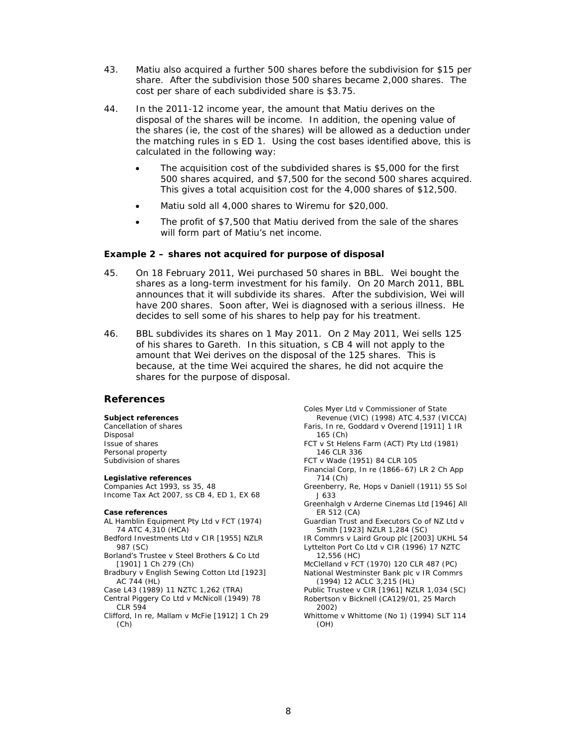- 43. Matiu also acquired a further 500 shares before the subdivision for \$15 per share. After the subdivision those 500 shares became 2,000 shares. The cost per share of each subdivided share is \$3.75.
- 44. In the 2011-12 income year, the amount that Matiu derives on the disposal of the shares will be income. In addition, the opening value of the shares (ie, the cost of the shares) will be allowed as a deduction under the matching rules in s ED 1. Using the cost bases identified above, this is calculated in the following way:
	- The acquisition cost of the subdivided shares is \$5,000 for the first 500 shares acquired, and \$7,500 for the second 500 shares acquired. This gives a total acquisition cost for the 4,000 shares of \$12,500.
	- Matiu sold all 4,000 shares to Wiremu for \$20,000.
	- The profit of \$7,500 that Matiu derived from the sale of the shares will form part of Matiu's net income.

#### *Example 2 – shares not acquired for purpose of disposal*

- 45. On 18 February 2011, Wei purchased 50 shares in BBL. Wei bought the shares as a long-term investment for his family. On 20 March 2011, BBL announces that it will subdivide its shares. After the subdivision, Wei will have 200 shares. Soon after, Wei is diagnosed with a serious illness. He decides to sell some of his shares to help pay for his treatment.
- 46. BBL subdivides its shares on 1 May 2011. On 2 May 2011, Wei sells 125 of his shares to Gareth. In this situation, s CB 4 will not apply to the amount that Wei derives on the disposal of the 125 shares. This is because, at the time Wei acquired the shares, he did not acquire the shares for the purpose of disposal.

#### **References**

#### **Subject references**

Cancellation of shares Disposal Issue of shares Personal property Subdivision of shares

#### **Legislative references**

Companies Act 1993, ss 35, 48 Income Tax Act 2007, ss CB 4, ED 1, EX 68

#### **Case references**

- *AL Hamblin Equipment Pty Ltd v FCT* (1974) 74 ATC 4,310 (HCA)
- *Bedford Investments Ltd v CIR* [1955] NZLR 987 (SC)
- *Borland's Trustee v Steel Brothers & Co Ltd*  [1901] 1 Ch 279 (Ch)
- *Bradbury v English Sewing Cotton Ltd* [1923] AC 744 (HL)
- *Case L43* (1989) 11 NZTC 1,262 (TRA)
- *Central Piggery Co Ltd v McNicoll* (1949) 78 CLR 594
- *Clifford, In re, Mallam v McFie* [1912] 1 Ch 29 (Ch)

*Coles Myer Ltd v Commissioner of State Revenue (VIC)* (1998) ATC 4,537 (VICCA) *Faris, In re, Goddard v Overend* [1911] 1 IR 165 (Ch) *FCT v St Helens Farm (ACT) Pty Ltd* (1981) 146 CLR 336 *FCT v Wade* (1951) 84 CLR 105 *Financial Corp, In re* (1866–67) LR 2 Ch App 714 (Ch) *Greenberry, Re, Hops v Daniell* (1911) 55 Sol J 633 *Greenhalgh v Arderne Cinemas Ltd* [1946] All ER 512 (CA) *Guardian Trust and Executors Co of NZ Ltd v Smith* [1923] NZLR 1,284 (SC) *IR Commrs v Laird Group plc* [2003] UKHL 54 *Lyttelton Port Co Ltd v CIR* (1996) 17 NZTC 12,556 (HC) *McClelland v FCT* (1970) 120 CLR 487 (PC) *National Westminster Bank plc v IR Commrs*  (1994) 12 ACLC 3,215 (HL) *Public Trustee v CIR* [1961] NZLR 1,034 (SC) *Robertson v Bicknell* (CA129/01, 25 March 2002) *Whittome v Whittome (No 1)* (1994) SLT 114 (OH)